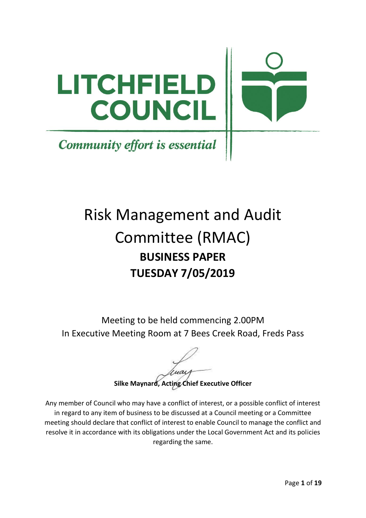

# Risk Management and Audit Committee (RMAC) **BUSINESS PAPER TUESDAY 7/05/2019**

Meeting to be held commencing 2.00PM In Executive Meeting Room at 7 Bees Creek Road, Freds Pass

**Silke Maynard, Acting Chief Executive Officer**

Any member of Council who may have a conflict of interest, or a possible conflict of interest in regard to any item of business to be discussed at a Council meeting or a Committee meeting should declare that conflict of interest to enable Council to manage the conflict and resolve it in accordance with its obligations under the Local Government Act and its policies regarding the same.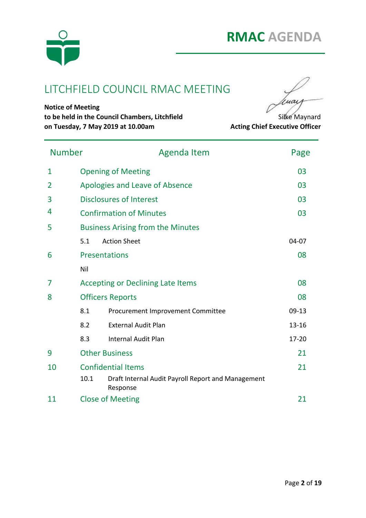

## LITCHFIELD COUNCIL RMAC MEETING



**Notice of Meeting to be held in the Council Chambers, Litchfield** Silke Maynard **on Tuesday, 7 May 2019 at 10.00am Acting Chief Executive Officer** 

| <b>Number</b> |      | <b>Agenda Item</b>                                             |           |  |  |
|---------------|------|----------------------------------------------------------------|-----------|--|--|
| $\mathbf{1}$  |      | <b>Opening of Meeting</b>                                      |           |  |  |
| 2             |      | Apologies and Leave of Absence                                 | 03        |  |  |
| 3             |      | <b>Disclosures of Interest</b>                                 | 03        |  |  |
| 4             |      | <b>Confirmation of Minutes</b>                                 | 03        |  |  |
| 5             |      | <b>Business Arising from the Minutes</b>                       |           |  |  |
|               | 5.1  | <b>Action Sheet</b>                                            | 04-07     |  |  |
| 6             |      | <b>Presentations</b>                                           | 08        |  |  |
|               | Nil  |                                                                |           |  |  |
| 7             |      | 08<br><b>Accepting or Declining Late Items</b>                 |           |  |  |
| 8             |      | <b>Officers Reports</b>                                        |           |  |  |
|               | 8.1  | Procurement Improvement Committee                              | $09-13$   |  |  |
|               | 8.2  | <b>External Audit Plan</b>                                     | $13 - 16$ |  |  |
|               | 8.3  | <b>Internal Audit Plan</b>                                     | 17-20     |  |  |
| 9             |      | <b>Other Business</b>                                          |           |  |  |
| 10            |      | <b>Confidential Items</b>                                      |           |  |  |
|               | 10.1 | Draft Internal Audit Payroll Report and Management<br>Response |           |  |  |
| 11            |      | <b>Close of Meeting</b>                                        |           |  |  |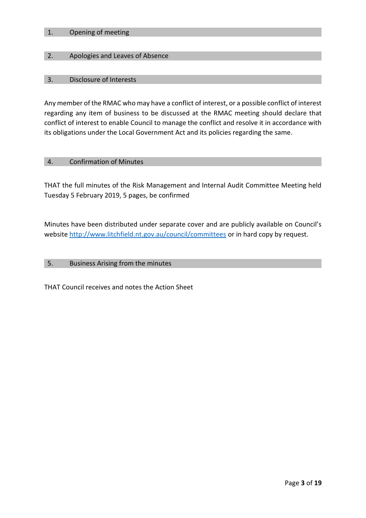#### 1. Opening of meeting

#### 2. Apologies and Leaves of Absence

#### 3. Disclosure of Interests

Any member of the RMAC who may have a conflict of interest, or a possible conflict of interest regarding any item of business to be discussed at the RMAC meeting should declare that conflict of interest to enable Council to manage the conflict and resolve it in accordance with its obligations under the Local Government Act and its policies regarding the same.

#### 4. Confirmation of Minutes

THAT the full minutes of the Risk Management and Internal Audit Committee Meeting held Tuesday 5 February 2019, 5 pages, be confirmed

Minutes have been distributed under separate cover and are publicly available on Council's website<http://www.litchfield.nt.gov.au/council/committees> or in hard copy by request.

#### 5. Business Arising from the minutes

THAT Council receives and notes the Action Sheet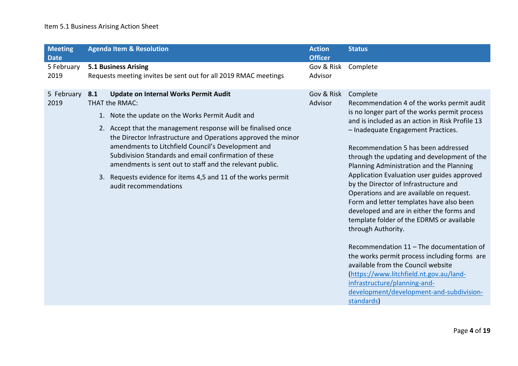## Item 5.1 Business Arising Action Sheet

| <b>Meeting</b>                    |                                                                                                | <b>Agenda Item &amp; Resolution</b>                                                                                                                                                                                                                                                                                                                                                                                                                                                                                       | <b>Action</b>                           | <b>Status</b>                                                                                                                                                                                                                                                                                                                                                                                                                                                                                                                                                                                                                                                                                                                                                                                                                                                                                             |
|-----------------------------------|------------------------------------------------------------------------------------------------|---------------------------------------------------------------------------------------------------------------------------------------------------------------------------------------------------------------------------------------------------------------------------------------------------------------------------------------------------------------------------------------------------------------------------------------------------------------------------------------------------------------------------|-----------------------------------------|-----------------------------------------------------------------------------------------------------------------------------------------------------------------------------------------------------------------------------------------------------------------------------------------------------------------------------------------------------------------------------------------------------------------------------------------------------------------------------------------------------------------------------------------------------------------------------------------------------------------------------------------------------------------------------------------------------------------------------------------------------------------------------------------------------------------------------------------------------------------------------------------------------------|
| <b>Date</b><br>5 February<br>2019 | <b>5.1 Business Arising</b><br>Requests meeting invites be sent out for all 2019 RMAC meetings |                                                                                                                                                                                                                                                                                                                                                                                                                                                                                                                           | <b>Officer</b><br>Gov & Risk<br>Advisor | Complete                                                                                                                                                                                                                                                                                                                                                                                                                                                                                                                                                                                                                                                                                                                                                                                                                                                                                                  |
| 5 February<br>2019                | 8.1                                                                                            | <b>Update on Internal Works Permit Audit</b><br>THAT the RMAC:<br>1. Note the update on the Works Permit Audit and<br>2. Accept that the management response will be finalised once<br>the Director Infrastructure and Operations approved the minor<br>amendments to Litchfield Council's Development and<br>Subdivision Standards and email confirmation of these<br>amendments is sent out to staff and the relevant public.<br>3. Requests evidence for items 4,5 and 11 of the works permit<br>audit recommendations | Gov & Risk<br>Advisor                   | Complete<br>Recommendation 4 of the works permit audit<br>is no longer part of the works permit process<br>and is included as an action in Risk Profile 13<br>- Inadequate Engagement Practices.<br>Recommendation 5 has been addressed<br>through the updating and development of the<br>Planning Administration and the Planning<br>Application Evaluation user guides approved<br>by the Director of Infrastructure and<br>Operations and are available on request.<br>Form and letter templates have also been<br>developed and are in either the forms and<br>template folder of the EDRMS or available<br>through Authority.<br>Recommendation 11 - The documentation of<br>the works permit process including forms are<br>available from the Council website<br>(https://www.litchfield.nt.gov.au/land-<br>infrastructure/planning-and-<br>development/development-and-subdivision-<br>standards) |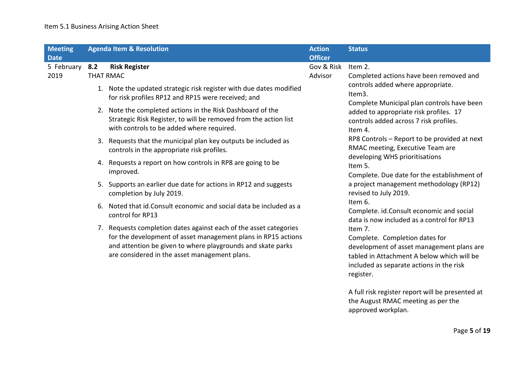## Item 5.1 Business Arising Action Sheet

| <b>Meeting</b><br><b>Date</b> | <b>Agenda Item &amp; Resolution</b> |                                                                                                                                                                                                                                                    | <b>Action</b><br><b>Officer</b> | <b>Status</b>                                                                                                                                                                                 |                                                                                        |  |
|-------------------------------|-------------------------------------|----------------------------------------------------------------------------------------------------------------------------------------------------------------------------------------------------------------------------------------------------|---------------------------------|-----------------------------------------------------------------------------------------------------------------------------------------------------------------------------------------------|----------------------------------------------------------------------------------------|--|
| 5 February 8.2<br>2019        |                                     | <b>Risk Register</b><br><b>THAT RMAC</b>                                                                                                                                                                                                           | Gov & Risk<br>Advisor           | Item 2.<br>Completed actions have been removed and                                                                                                                                            |                                                                                        |  |
|                               |                                     | 1. Note the updated strategic risk register with due dates modified<br>for risk profiles RP12 and RP15 were received; and                                                                                                                          |                                 | controls added where appropriate.<br>Item3.<br>Complete Municipal plan controls have been                                                                                                     |                                                                                        |  |
|                               |                                     | 2. Note the completed actions in the Risk Dashboard of the<br>Strategic Risk Register, to will be removed from the action list<br>with controls to be added where required.                                                                        |                                 | added to appropriate risk profiles. 17<br>controls added across 7 risk profiles.<br>Item 4.                                                                                                   |                                                                                        |  |
|                               |                                     | 3. Requests that the municipal plan key outputs be included as<br>controls in the appropriate risk profiles.                                                                                                                                       |                                 | RP8 Controls - Report to be provided at next<br>RMAC meeting, Executive Team are                                                                                                              |                                                                                        |  |
|                               |                                     | 4. Requests a report on how controls in RP8 are going to be<br>improved.                                                                                                                                                                           |                                 | developing WHS prioritisations<br>Item 5.<br>Complete. Due date for the establishment of                                                                                                      |                                                                                        |  |
|                               |                                     | 5. Supports an earlier due date for actions in RP12 and suggests<br>completion by July 2019.                                                                                                                                                       |                                 | a project management methodology (RP12)<br>revised to July 2019.                                                                                                                              |                                                                                        |  |
|                               |                                     | 6. Noted that id. Consult economic and social data be included as a<br>control for RP13                                                                                                                                                            |                                 | Item 6.<br>Complete. id.Consult economic and social<br>data is now included as a control for RP13                                                                                             |                                                                                        |  |
|                               |                                     | 7. Requests completion dates against each of the asset categories<br>for the development of asset management plans in RP15 actions<br>and attention be given to where playgrounds and skate parks<br>are considered in the asset management plans. |                                 | Item 7.<br>Complete. Completion dates for<br>development of asset management plans are<br>tabled in Attachment A below which will be<br>included as separate actions in the risk<br>register. |                                                                                        |  |
|                               |                                     |                                                                                                                                                                                                                                                    |                                 |                                                                                                                                                                                               | A full risk register report will be presented at<br>the August RMAC meeting as per the |  |

approved workplan.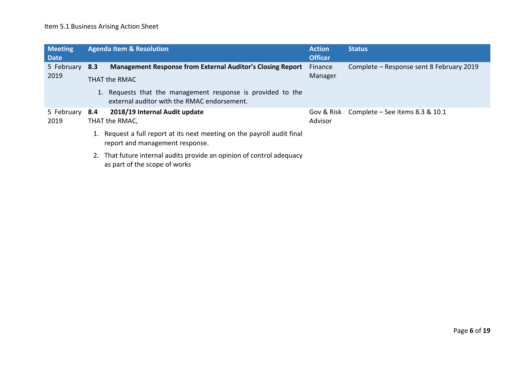## Item 5.1 Business Arising Action Sheet

| <b>Meeting</b><br><b>Date</b> | <b>Agenda Item &amp; Resolution</b>                                                |                                                                                                            | <b>Action</b><br><b>Officer</b> | <b>Status</b>                              |  |  |
|-------------------------------|------------------------------------------------------------------------------------|------------------------------------------------------------------------------------------------------------|---------------------------------|--------------------------------------------|--|--|
| 5 February 8.3<br>2019        | <b>Management Response from External Auditor's Closing Report</b><br>THAT the RMAC |                                                                                                            | Finance<br>Manager              | Complete - Response sent 8 February 2019   |  |  |
|                               |                                                                                    | 1. Requests that the management response is provided to the<br>external auditor with the RMAC endorsement. |                                 |                                            |  |  |
| 5 February<br>2019            | 8.4                                                                                | 2018/19 Internal Audit update<br>THAT the RMAC,                                                            | Advisor                         | Gov & Risk Complete - See items 8.3 & 10.1 |  |  |
|                               |                                                                                    | 1. Request a full report at its next meeting on the payroll audit final<br>report and management response. |                                 |                                            |  |  |
|                               |                                                                                    | 2. That future internal audits provide an opinion of control adequacy<br>as part of the scope of works     |                                 |                                            |  |  |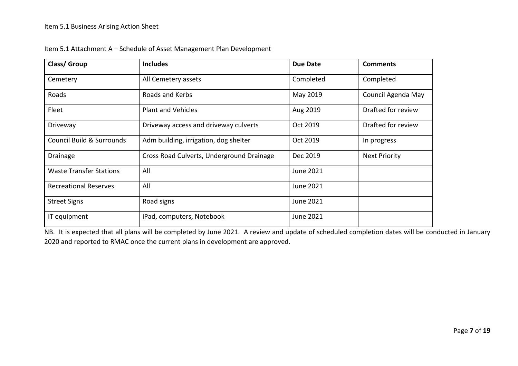| Class/ Group                   | <b>Includes</b>                           | Due Date  | <b>Comments</b>      |
|--------------------------------|-------------------------------------------|-----------|----------------------|
| Cemetery                       | All Cemetery assets                       | Completed | Completed            |
| Roads                          | Roads and Kerbs                           | May 2019  | Council Agenda May   |
| Fleet                          | <b>Plant and Vehicles</b>                 | Aug 2019  | Drafted for review   |
| Driveway                       | Driveway access and driveway culverts     | Oct 2019  | Drafted for review   |
| Council Build & Surrounds      | Adm building, irrigation, dog shelter     | Oct 2019  | In progress          |
| Drainage                       | Cross Road Culverts, Underground Drainage | Dec 2019  | <b>Next Priority</b> |
| <b>Waste Transfer Stations</b> | All                                       | June 2021 |                      |
| <b>Recreational Reserves</b>   | All                                       | June 2021 |                      |
| <b>Street Signs</b>            | Road signs                                | June 2021 |                      |
| IT equipment                   | iPad, computers, Notebook                 | June 2021 |                      |

Item 5.1 Attachment A – Schedule of Asset Management Plan Development

NB. It is expected that all plans will be completed by June 2021. A review and update of scheduled completion dates will be conducted in January 2020 and reported to RMAC once the current plans in development are approved.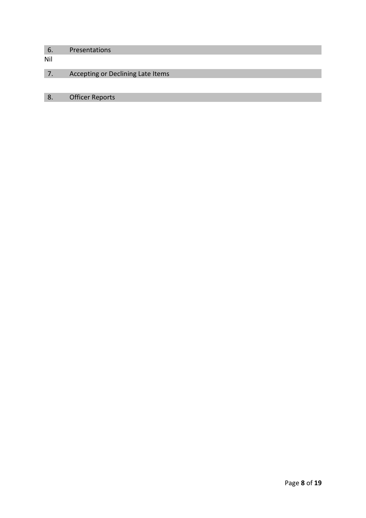# 6. Presentations Nil 7. Accepting or Declining Late Items 8. Officer Reports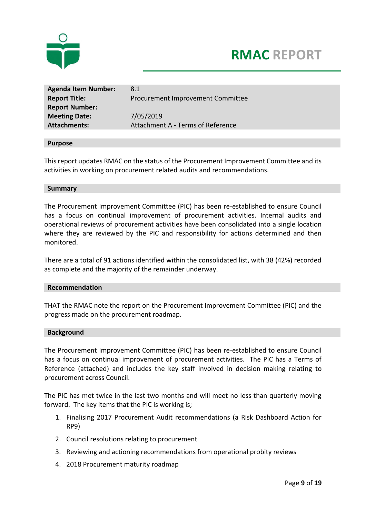



| <b>Agenda Item Number:</b> | 8.1                               |
|----------------------------|-----------------------------------|
| <b>Report Title:</b>       | Procurement Improvement Committee |
| <b>Report Number:</b>      |                                   |
| <b>Meeting Date:</b>       | 7/05/2019                         |
| <b>Attachments:</b>        | Attachment A - Terms of Reference |

#### **Purpose**

This report updates RMAC on the status of the Procurement Improvement Committee and its activities in working on procurement related audits and recommendations.

#### **Summary**

The Procurement Improvement Committee (PIC) has been re-established to ensure Council has a focus on continual improvement of procurement activities. Internal audits and operational reviews of procurement activities have been consolidated into a single location where they are reviewed by the PIC and responsibility for actions determined and then monitored.

There are a total of 91 actions identified within the consolidated list, with 38 (42%) recorded as complete and the majority of the remainder underway.

#### **Recommendation**

THAT the RMAC note the report on the Procurement Improvement Committee (PIC) and the progress made on the procurement roadmap.

#### **Background**

The Procurement Improvement Committee (PIC) has been re-established to ensure Council has a focus on continual improvement of procurement activities. The PIC has a Terms of Reference (attached) and includes the key staff involved in decision making relating to procurement across Council.

The PIC has met twice in the last two months and will meet no less than quarterly moving forward. The key items that the PIC is working is;

- 1. Finalising 2017 Procurement Audit recommendations (a Risk Dashboard Action for RP9)
- 2. Council resolutions relating to procurement
- 3. Reviewing and actioning recommendations from operational probity reviews
- 4. 2018 Procurement maturity roadmap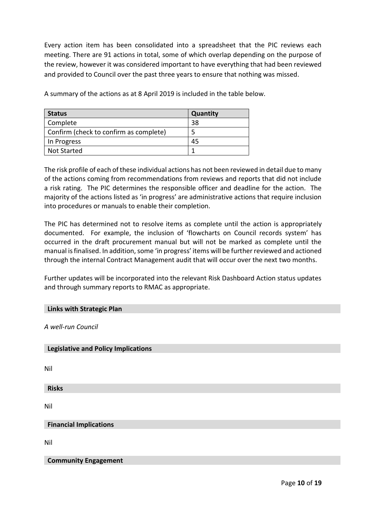Every action item has been consolidated into a spreadsheet that the PIC reviews each meeting. There are 91 actions in total, some of which overlap depending on the purpose of the review, however it was considered important to have everything that had been reviewed and provided to Council over the past three years to ensure that nothing was missed.

| <b>Status</b>                          | Quantity |
|----------------------------------------|----------|
| Complete                               | -38      |
| Confirm (check to confirm as complete) | 5        |
| In Progress                            | 45       |
| <b>Not Started</b>                     |          |

A summary of the actions as at 8 April 2019 is included in the table below.

The risk profile of each of these individual actions has not been reviewed in detail due to many of the actions coming from recommendations from reviews and reports that did not include a risk rating. The PIC determines the responsible officer and deadline for the action. The majority of the actions listed as 'in progress' are administrative actions that require inclusion into procedures or manuals to enable their completion.

The PIC has determined not to resolve items as complete until the action is appropriately documented. For example, the inclusion of 'flowcharts on Council records system' has occurred in the draft procurement manual but will not be marked as complete until the manual is finalised. In addition, some 'in progress' items will be further reviewed and actioned through the internal Contract Management audit that will occur over the next two months.

Further updates will be incorporated into the relevant Risk Dashboard Action status updates and through summary reports to RMAC as appropriate.

#### **Links with Strategic Plan**

*A well-run Council*

#### **Legislative and Policy Implications**

Nil

**Risks**

Nil

**Financial Implications** 

Nil

**Community Engagement**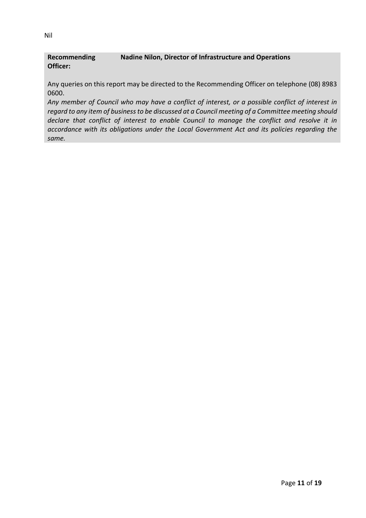#### **Recommending Officer: Nadine Nilon, Director of Infrastructure and Operations**

Any queries on this report may be directed to the Recommending Officer on telephone (08) 8983 0600.

*Any member of Council who may have a conflict of interest, or a possible conflict of interest in regard to any item of business to be discussed at a Council meeting of a Committee meeting should declare that conflict of interest to enable Council to manage the conflict and resolve it in accordance with its obligations under the Local Government Act and its policies regarding the same.*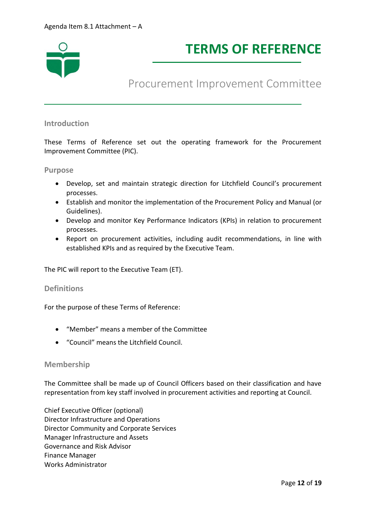

# **TERMS OF REFERENCE**

## Procurement Improvement Committee

#### **Introduction**

These Terms of Reference set out the operating framework for the Procurement Improvement Committee (PIC).

#### **Purpose**

- Develop, set and maintain strategic direction for Litchfield Council's procurement processes.
- Establish and monitor the implementation of the Procurement Policy and Manual (or Guidelines).
- Develop and monitor Key Performance Indicators (KPIs) in relation to procurement processes.
- Report on procurement activities, including audit recommendations, in line with established KPIs and as required by the Executive Team.

The PIC will report to the Executive Team (ET).

#### **Definitions**

For the purpose of these Terms of Reference:

- "Member" means a member of the Committee
- "Council" means the Litchfield Council.

#### **Membership**

The Committee shall be made up of Council Officers based on their classification and have representation from key staff involved in procurement activities and reporting at Council.

Chief Executive Officer (optional) Director Infrastructure and Operations Director Community and Corporate Services Manager Infrastructure and Assets Governance and Risk Advisor Finance Manager Works Administrator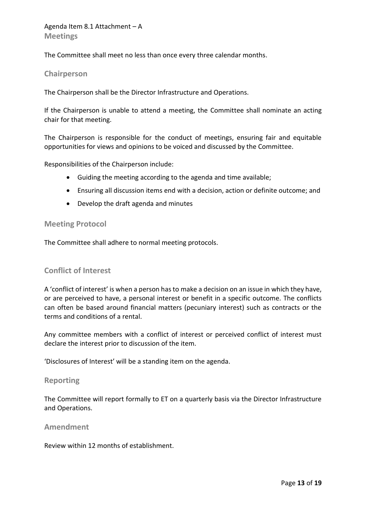The Committee shall meet no less than once every three calendar months.

#### **Chairperson**

The Chairperson shall be the Director Infrastructure and Operations.

If the Chairperson is unable to attend a meeting, the Committee shall nominate an acting chair for that meeting.

The Chairperson is responsible for the conduct of meetings, ensuring fair and equitable opportunities for views and opinions to be voiced and discussed by the Committee.

Responsibilities of the Chairperson include:

- Guiding the meeting according to the agenda and time available;
- Ensuring all discussion items end with a decision, action or definite outcome; and
- Develop the draft agenda and minutes

#### **Meeting Protocol**

The Committee shall adhere to normal meeting protocols.

#### **Conflict of Interest**

A 'conflict of interest' is when a person has to make a decision on an issue in which they have, or are perceived to have, a personal interest or benefit in a specific outcome. The conflicts can often be based around financial matters (pecuniary interest) such as contracts or the terms and conditions of a rental.

Any committee members with a conflict of interest or perceived conflict of interest must declare the interest prior to discussion of the item.

'Disclosures of Interest' will be a standing item on the agenda.

#### **Reporting**

The Committee will report formally to ET on a quarterly basis via the Director Infrastructure and Operations.

#### **Amendment**

Review within 12 months of establishment.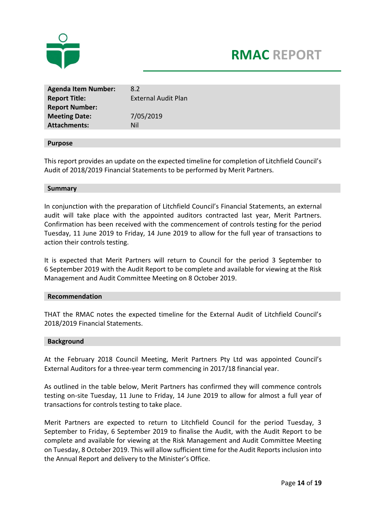



| <b>Agenda Item Number:</b><br><b>Report Title:</b><br><b>Report Number:</b> | 8.2<br><b>External Audit Plan</b> |
|-----------------------------------------------------------------------------|-----------------------------------|
| <b>Meeting Date:</b>                                                        | 7/05/2019                         |
| <b>Attachments:</b>                                                         | Nil                               |

#### **Purpose**

This report provides an update on the expected timeline for completion of Litchfield Council's Audit of 2018/2019 Financial Statements to be performed by Merit Partners.

#### **Summary**

In conjunction with the preparation of Litchfield Council's Financial Statements, an external audit will take place with the appointed auditors contracted last year, Merit Partners. Confirmation has been received with the commencement of controls testing for the period Tuesday, 11 June 2019 to Friday, 14 June 2019 to allow for the full year of transactions to action their controls testing.

It is expected that Merit Partners will return to Council for the period 3 September to 6 September 2019 with the Audit Report to be complete and available for viewing at the Risk Management and Audit Committee Meeting on 8 October 2019.

#### **Recommendation**

THAT the RMAC notes the expected timeline for the External Audit of Litchfield Council's 2018/2019 Financial Statements.

#### **Background**

At the February 2018 Council Meeting, Merit Partners Pty Ltd was appointed Council's External Auditors for a three-year term commencing in 2017/18 financial year.

As outlined in the table below, Merit Partners has confirmed they will commence controls testing on-site Tuesday, 11 June to Friday, 14 June 2019 to allow for almost a full year of transactions for controls testing to take place.

Merit Partners are expected to return to Litchfield Council for the period Tuesday, 3 September to Friday, 6 September 2019 to finalise the Audit, with the Audit Report to be complete and available for viewing at the Risk Management and Audit Committee Meeting on Tuesday, 8 October 2019. This will allow sufficient time for the Audit Reports inclusion into the Annual Report and delivery to the Minister's Office.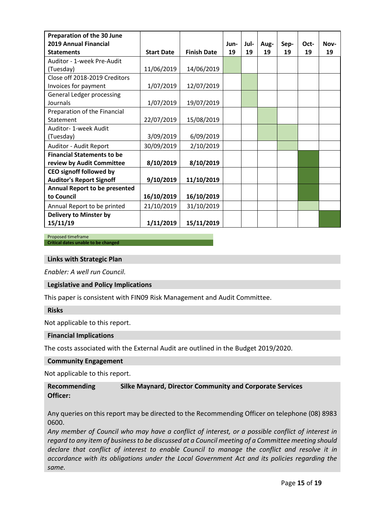| Preparation of the 30 June           |                   |                    |      |      |      |      |      |      |
|--------------------------------------|-------------------|--------------------|------|------|------|------|------|------|
| 2019 Annual Financial                |                   |                    | Jun- | Jul- | Aug- | Sep- | Oct- | Nov- |
| <b>Statements</b>                    | <b>Start Date</b> | <b>Finish Date</b> | 19   | 19   | 19   | 19   | 19   | 19   |
| Auditor - 1-week Pre-Audit           |                   |                    |      |      |      |      |      |      |
| (Tuesday)                            | 11/06/2019        | 14/06/2019         |      |      |      |      |      |      |
| Close off 2018-2019 Creditors        |                   |                    |      |      |      |      |      |      |
| Invoices for payment                 | 1/07/2019         | 12/07/2019         |      |      |      |      |      |      |
| <b>General Ledger processing</b>     |                   |                    |      |      |      |      |      |      |
| Journals                             | 1/07/2019         | 19/07/2019         |      |      |      |      |      |      |
| Preparation of the Financial         |                   |                    |      |      |      |      |      |      |
| Statement                            | 22/07/2019        | 15/08/2019         |      |      |      |      |      |      |
| Auditor- 1-week Audit                |                   |                    |      |      |      |      |      |      |
| (Tuesday)                            | 3/09/2019         | 6/09/2019          |      |      |      |      |      |      |
| Auditor - Audit Report               | 30/09/2019        | 2/10/2019          |      |      |      |      |      |      |
| <b>Financial Statements to be</b>    |                   |                    |      |      |      |      |      |      |
| review by Audit Committee            | 8/10/2019         | 8/10/2019          |      |      |      |      |      |      |
| <b>CEO signoff followed by</b>       |                   |                    |      |      |      |      |      |      |
| <b>Auditor's Report Signoff</b>      | 9/10/2019         | 11/10/2019         |      |      |      |      |      |      |
| <b>Annual Report to be presented</b> |                   |                    |      |      |      |      |      |      |
| to Council                           | 16/10/2019        | 16/10/2019         |      |      |      |      |      |      |
| Annual Report to be printed          | 21/10/2019        | 31/10/2019         |      |      |      |      |      |      |
| <b>Delivery to Minster by</b>        |                   |                    |      |      |      |      |      |      |
| 15/11/19                             | 1/11/2019         | 15/11/2019         |      |      |      |      |      |      |

#### Proposed timeframe **Critical dates unable to be changed**

## **Links with Strategic Plan**

*Enabler: A well run Council.*

#### **Legislative and Policy Implications**

This paper is consistent with FIN09 Risk Management and Audit Committee.

#### **Risks**

Not applicable to this report.

#### **Financial Implications**

The costs associated with the External Audit are outlined in the Budget 2019/2020.

#### **Community Engagement**

Not applicable to this report.

#### **Recommending Officer: Silke Maynard, Director Community and Corporate Services**

Any queries on this report may be directed to the Recommending Officer on telephone (08) 8983 0600.

*Any member of Council who may have a conflict of interest, or a possible conflict of interest in regard to any item of business to be discussed at a Council meeting of a Committee meeting should declare that conflict of interest to enable Council to manage the conflict and resolve it in accordance with its obligations under the Local Government Act and its policies regarding the same.*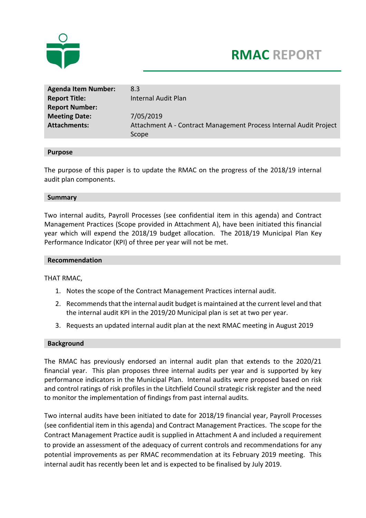

# **RMAC REPORT**

| <b>Agenda Item Number:</b> | 8.3                                                               |
|----------------------------|-------------------------------------------------------------------|
| <b>Report Title:</b>       | Internal Audit Plan                                               |
| <b>Report Number:</b>      |                                                                   |
| <b>Meeting Date:</b>       | 7/05/2019                                                         |
| <b>Attachments:</b>        | Attachment A - Contract Management Process Internal Audit Project |
|                            | Scope                                                             |

#### **Purpose**

The purpose of this paper is to update the RMAC on the progress of the 2018/19 internal audit plan components.

#### **Summary**

Two internal audits, Payroll Processes (see confidential item in this agenda) and Contract Management Practices (Scope provided in Attachment A), have been initiated this financial year which will expend the 2018/19 budget allocation. The 2018/19 Municipal Plan Key Performance Indicator (KPI) of three per year will not be met.

#### **Recommendation**

THAT RMAC,

- 1. Notes the scope of the Contract Management Practices internal audit.
- 2. Recommends that the internal audit budget is maintained at the current level and that the internal audit KPI in the 2019/20 Municipal plan is set at two per year.
- 3. Requests an updated internal audit plan at the next RMAC meeting in August 2019

#### **Background**

The RMAC has previously endorsed an internal audit plan that extends to the 2020/21 financial year. This plan proposes three internal audits per year and is supported by key performance indicators in the Municipal Plan. Internal audits were proposed based on risk and control ratings of risk profiles in the Litchfield Council strategic risk register and the need to monitor the implementation of findings from past internal audits.

Two internal audits have been initiated to date for 2018/19 financial year, Payroll Processes (see confidential item in this agenda) and Contract Management Practices. The scope for the Contract Management Practice audit is supplied in Attachment A and included a requirement to provide an assessment of the adequacy of current controls and recommendations for any potential improvements as per RMAC recommendation at its February 2019 meeting. This internal audit has recently been let and is expected to be finalised by July 2019.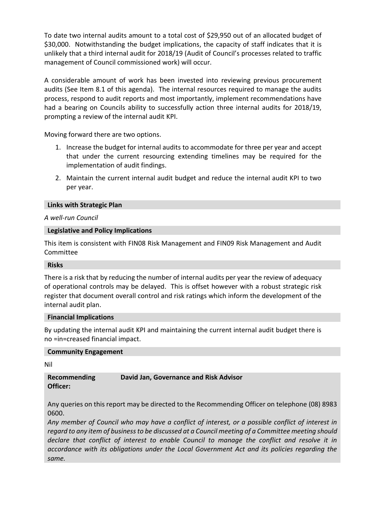To date two internal audits amount to a total cost of \$29,950 out of an allocated budget of \$30,000. Notwithstanding the budget implications, the capacity of staff indicates that it is unlikely that a third internal audit for 2018/19 (Audit of Council's processes related to traffic management of Council commissioned work) will occur.

A considerable amount of work has been invested into reviewing previous procurement audits (See Item 8.1 of this agenda). The internal resources required to manage the audits process, respond to audit reports and most importantly, implement recommendations have had a bearing on Councils ability to successfully action three internal audits for 2018/19, prompting a review of the internal audit KPI.

Moving forward there are two options.

- 1. Increase the budget for internal audits to accommodate for three per year and accept that under the current resourcing extending timelines may be required for the implementation of audit findings.
- 2. Maintain the current internal audit budget and reduce the internal audit KPI to two per year.

#### **Links with Strategic Plan**

#### *A well-run Council*

#### **Legislative and Policy Implications**

This item is consistent with FIN08 Risk Management and FIN09 Risk Management and Audit Committee

#### **Risks**

There is a risk that by reducing the number of internal audits per year the review of adequacy of operational controls may be delayed. This is offset however with a robust strategic risk register that document overall control and risk ratings which inform the development of the internal audit plan.

#### **Financial Implications**

By updating the internal audit KPI and maintaining the current internal audit budget there is no =in=creased financial impact.

#### **Community Engagement**

Nil

#### **Recommending Officer: David Jan, Governance and Risk Advisor**

Any queries on this report may be directed to the Recommending Officer on telephone (08) 8983 0600.

*Any member of Council who may have a conflict of interest, or a possible conflict of interest in regard to any item of business to be discussed at a Council meeting of a Committee meeting should declare that conflict of interest to enable Council to manage the conflict and resolve it in accordance with its obligations under the Local Government Act and its policies regarding the same.*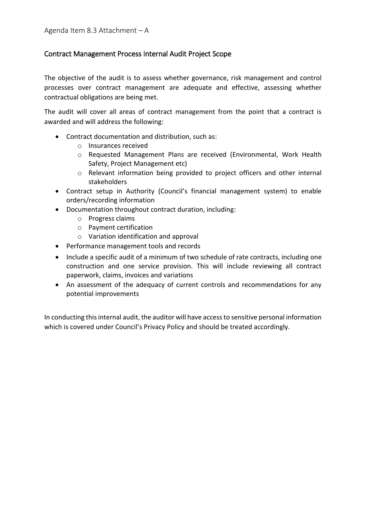### Contract Management Process Internal Audit Project Scope

The objective of the audit is to assess whether governance, risk management and control processes over contract management are adequate and effective, assessing whether contractual obligations are being met.

The audit will cover all areas of contract management from the point that a contract is awarded and will address the following:

- Contract documentation and distribution, such as:
	- o Insurances received
	- o Requested Management Plans are received (Environmental, Work Health Safety, Project Management etc)
	- o Relevant information being provided to project officers and other internal stakeholders
- Contract setup in Authority (Council's financial management system) to enable orders/recording information
- Documentation throughout contract duration, including:
	- o Progress claims
	- o Payment certification
	- o Variation identification and approval
- Performance management tools and records
- Include a specific audit of a minimum of two schedule of rate contracts, including one construction and one service provision. This will include reviewing all contract paperwork, claims, invoices and variations
- An assessment of the adequacy of current controls and recommendations for any potential improvements

In conducting this internal audit, the auditor will have access to sensitive personal information which is covered under Council's Privacy Policy and should be treated accordingly.